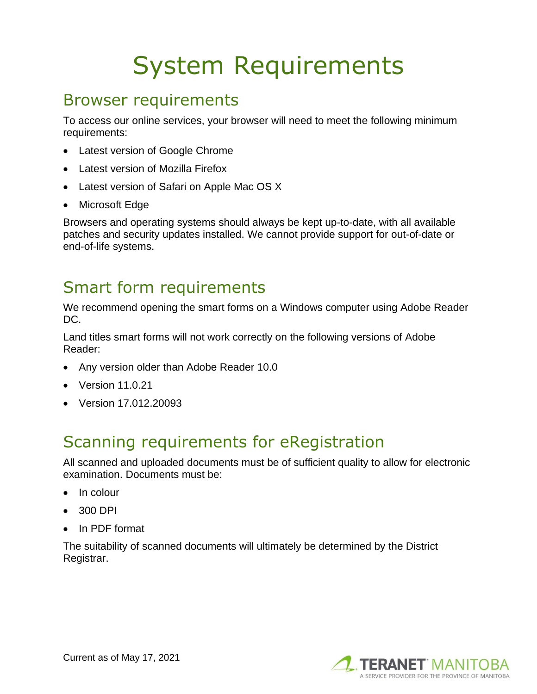# System Requirements

#### Browser requirements

To access our online services, your browser will need to meet the following minimum requirements:

- Latest version of Google Chrome
- Latest version of Mozilla Firefox
- Latest version of Safari on Apple Mac OS X
- Microsoft Edge

Browsers and operating systems should always be kept up-to-date, with all available patches and security updates installed. We cannot provide support for out-of-date or end-of-life systems.

#### Smart form requirements

We recommend opening the smart forms on a Windows computer using Adobe Reader DC.

Land titles smart forms will not work correctly on the following versions of Adobe Reader:

- Any version older than Adobe Reader 10.0
- Version 11.0.21
- Version 17.012.20093

### Scanning requirements for eRegistration

All scanned and uploaded documents must be of sufficient quality to allow for electronic examination. Documents must be:

- In colour
- 300 DPI
- In PDF format

The suitability of scanned documents will ultimately be determined by the District Registrar.